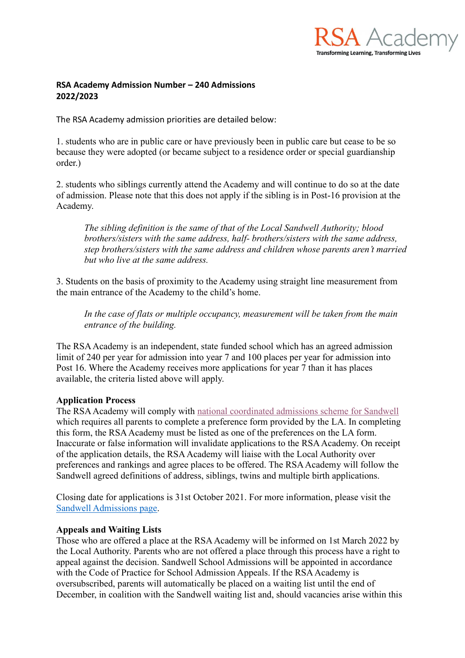

## **RSA Academy Admission Number – 240 Admissions 2022/2023**

The RSA Academy admission priorities are detailed below:

1. students who are in public care or have previously been in public care but cease to be so because they were adopted (or became subject to a residence order or special guardianship order.)

2. students who siblings currently attend the Academy and will continue to do so at the date of admission. Please note that this does not apply if the sibling is in Post-16 provision at the Academy.

*The sibling definition is the same of that of the Local Sandwell Authority; blood brothers/sisters with the same address, half- brothers/sisters with the same address, step brothers/sisters with the same address and children whose parents aren't married but who live at the same address.*

3. Students on the basis of proximity to the Academy using straight line measurement from the main entrance of the Academy to the child's home.

*In the case of flats or multiple occupancy, measurement will be taken from the main entrance of the building.*

The RSA Academy is an independent, state funded school which has an agreed admission limit of 240 per year for admission into year 7 and 100 places per year for admission into Post 16. Where the Academy receives more applications for year 7 than it has places available, the criteria listed above will apply.

## **Application Process**

The RSA Academy will comply with national coordinated [admissions scheme for Sandwell](https://www.sandwell.gov.uk/download/downloads/id/31359/coordinated_admissions_scheme_2022-2023.pdf) which requires all parents to complete a preference form provided by the LA. In completing this form, the RSA Academy must be listed as one of the preferences on the LA form. Inaccurate or false information will invalidate applications to the RSA Academy. On receipt of the application details, the RSA Academy will liaise with the Local Authority over preferences and rankings and agree places to be offered. The RSA Academy will follow the Sandwell agreed definitions of address, siblings, twins and multiple birth applications.

Closing date for applications is 31st October 2021. For more information, please visit the [Sandwell Admissions page.](https://www.sandwell.gov.uk/schooladmissions)

## **Appeals and Waiting Lists**

Those who are offered a place at the RSA Academy will be informed on 1st March 2022 by the Local Authority. Parents who are not offered a place through this process have a right to appeal against the decision. Sandwell School Admissions will be appointed in accordance with the Code of Practice for School Admission Appeals. If the RSA Academy is oversubscribed, parents will automatically be placed on a waiting list until the end of December, in coalition with the Sandwell waiting list and, should vacancies arise within this